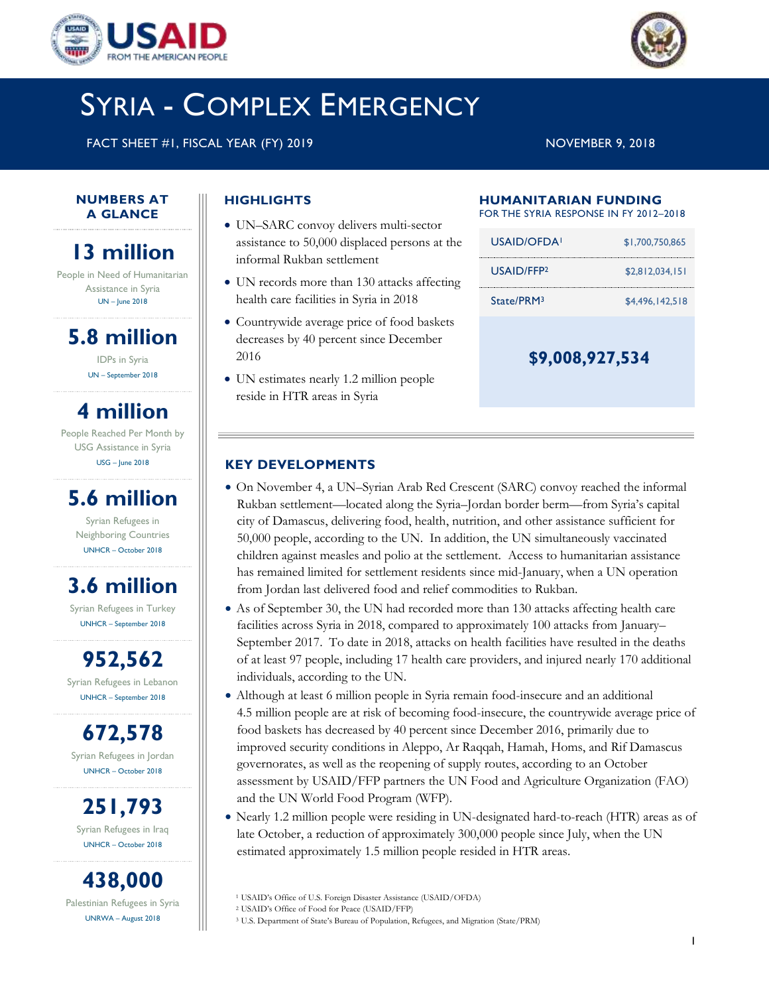



# SYRIA - COMPLEX EMERGENCY

FACT SHEET #1, FISCAL YEAR (FY) 2019 NOVEMBER 9, 2018

#### **NUMBERS AT A GLANCE**

# **13 million**

People in Need of Humanitarian Assistance in Syria UN – June 2018

# **5.8 million**

IDPs in Syria UN – September 2018

# **4 million**

People Reached Per Month by USG Assistance in Syria USG – June 2018

# **5.6 million**

Syrian Refugees in Neighboring Countries UNHCR – October 2018

# **3.6 million**

Syrian Refugees in Turkey UNHCR – September 2018

**952,562** Syrian Refugees in Lebanon

UNHCR – September 2018

**672,578** Syrian Refugees in Jordan UNHCR – October 2018

**251,793** Syrian Refugees in Iraq UNHCR – October 2018

**438,000** Palestinian Refugees in Syria UNRWA – August 2018

## **HIGHLIGHTS**

- UN–SARC convoy delivers multi-sector assistance to 50,000 displaced persons at the informal Rukban settlement
- UN records more than 130 attacks affecting health care facilities in Syria in 2018
- Countrywide average price of food baskets decreases by 40 percent since December 2016
- UN estimates nearly 1.2 million people reside in HTR areas in Syria

### **HUMANITARIAN FUNDING**

FOR THE SYRIA RESPONSE IN FY 2012–2018

| USAID/OFDA!             | \$1,700,750,865 |
|-------------------------|-----------------|
| USAID/FFP <sub>2</sub>  | \$2.812.034.151 |
| Strate/PRM <sup>3</sup> | \$4,496,142,518 |

**\$9,008,927,534**

### **KEY DEVELOPMENTS**

- On November 4, a UN–Syrian Arab Red Crescent (SARC) convoy reached the informal Rukban settlement—located along the Syria–Jordan border berm—from Syria's capital city of Damascus, delivering food, health, nutrition, and other assistance sufficient for 50,000 people, according to the UN. In addition, the UN simultaneously vaccinated children against measles and polio at the settlement. Access to humanitarian assistance has remained limited for settlement residents since mid-January, when a UN operation from Jordan last delivered food and relief commodities to Rukban.
- As of September 30, the UN had recorded more than 130 attacks affecting health care facilities across Syria in 2018, compared to approximately 100 attacks from January– September 2017. To date in 2018, attacks on health facilities have resulted in the deaths of at least 97 people, including 17 health care providers, and injured nearly 170 additional individuals, according to the UN.
- Although at least 6 million people in Syria remain food-insecure and an additional 4.5 million people are at risk of becoming food-insecure, the countrywide average price of food baskets has decreased by 40 percent since December 2016, primarily due to improved security conditions in Aleppo, Ar Raqqah, Hamah, Homs, and Rif Damascus governorates, as well as the reopening of supply routes, according to an October assessment by USAID/FFP partners the UN Food and Agriculture Organization (FAO) and the UN World Food Program (WFP).
- Nearly 1.2 million people were residing in UN-designated hard-to-reach (HTR) areas as of late October, a reduction of approximately 300,000 people since July, when the UN estimated approximately 1.5 million people resided in HTR areas.

<sup>1</sup> USAID's Office of U.S. Foreign Disaster Assistance (USAID/OFDA)

<sup>2</sup> USAID's Office of Food for Peace (USAID/FFP)

<sup>3</sup> U.S. Department of State's Bureau of Population, Refugees, and Migration (State/PRM)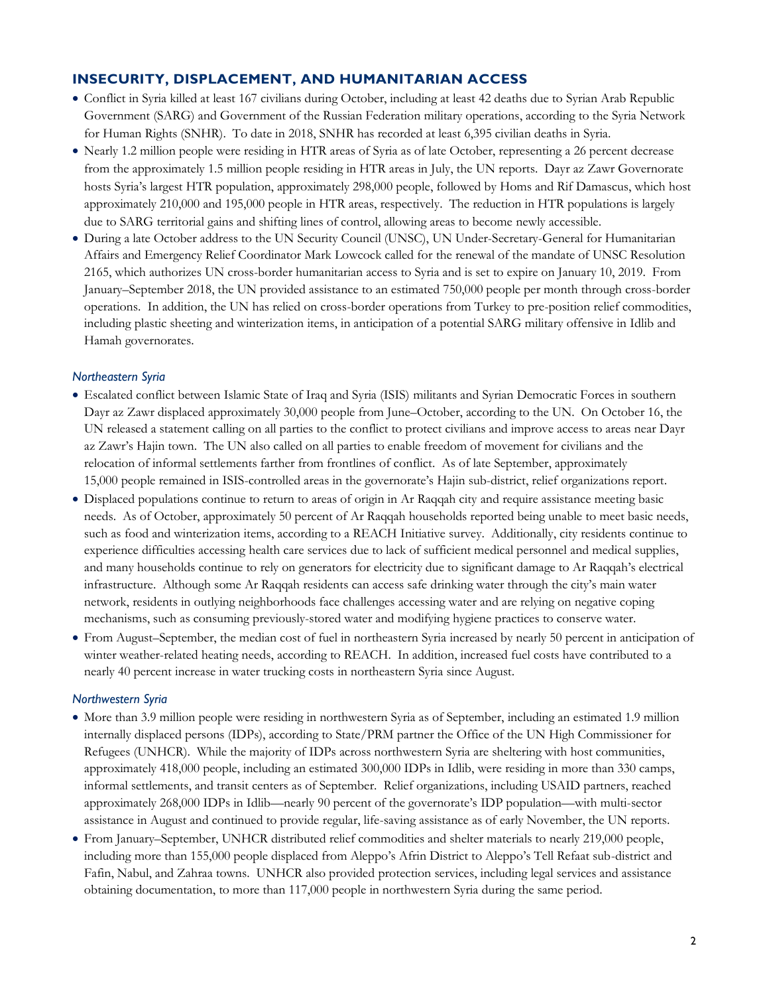### **INSECURITY, DISPLACEMENT, AND HUMANITARIAN ACCESS**

- Conflict in Syria killed at least 167 civilians during October, including at least 42 deaths due to Syrian Arab Republic Government (SARG) and Government of the Russian Federation military operations, according to the Syria Network for Human Rights (SNHR). To date in 2018, SNHR has recorded at least 6,395 civilian deaths in Syria.
- Nearly 1.2 million people were residing in HTR areas of Syria as of late October, representing a 26 percent decrease from the approximately 1.5 million people residing in HTR areas in July, the UN reports. Dayr az Zawr Governorate hosts Syria's largest HTR population, approximately 298,000 people, followed by Homs and Rif Damascus, which host approximately 210,000 and 195,000 people in HTR areas, respectively. The reduction in HTR populations is largely due to SARG territorial gains and shifting lines of control, allowing areas to become newly accessible.
- During a late October address to the UN Security Council (UNSC), UN Under-Secretary-General for Humanitarian Affairs and Emergency Relief Coordinator Mark Lowcock called for the renewal of the mandate of UNSC Resolution 2165, which authorizes UN cross-border humanitarian access to Syria and is set to expire on January 10, 2019. From January–September 2018, the UN provided assistance to an estimated 750,000 people per month through cross-border operations. In addition, the UN has relied on cross-border operations from Turkey to pre-position relief commodities, including plastic sheeting and winterization items, in anticipation of a potential SARG military offensive in Idlib and Hamah governorates.

#### *Northeastern Syria*

- Escalated conflict between Islamic State of Iraq and Syria (ISIS) militants and Syrian Democratic Forces in southern Dayr az Zawr displaced approximately 30,000 people from June–October, according to the UN. On October 16, the UN released a statement calling on all parties to the conflict to protect civilians and improve access to areas near Dayr az Zawr's Hajin town. The UN also called on all parties to enable freedom of movement for civilians and the relocation of informal settlements farther from frontlines of conflict. As of late September, approximately 15,000 people remained in ISIS-controlled areas in the governorate's Hajin sub-district, relief organizations report.
- Displaced populations continue to return to areas of origin in Ar Raqqah city and require assistance meeting basic needs. As of October, approximately 50 percent of Ar Raqqah households reported being unable to meet basic needs, such as food and winterization items, according to a REACH Initiative survey. Additionally, city residents continue to experience difficulties accessing health care services due to lack of sufficient medical personnel and medical supplies, and many households continue to rely on generators for electricity due to significant damage to Ar Raqqah's electrical infrastructure. Although some Ar Raqqah residents can access safe drinking water through the city's main water network, residents in outlying neighborhoods face challenges accessing water and are relying on negative coping mechanisms, such as consuming previously-stored water and modifying hygiene practices to conserve water.
- From August–September, the median cost of fuel in northeastern Syria increased by nearly 50 percent in anticipation of winter weather-related heating needs, according to REACH. In addition, increased fuel costs have contributed to a nearly 40 percent increase in water trucking costs in northeastern Syria since August.

#### *Northwestern Syria*

- More than 3.9 million people were residing in northwestern Syria as of September, including an estimated 1.9 million internally displaced persons (IDPs), according to State/PRM partner the Office of the UN High Commissioner for Refugees (UNHCR). While the majority of IDPs across northwestern Syria are sheltering with host communities, approximately 418,000 people, including an estimated 300,000 IDPs in Idlib, were residing in more than 330 camps, informal settlements, and transit centers as of September. Relief organizations, including USAID partners, reached approximately 268,000 IDPs in Idlib—nearly 90 percent of the governorate's IDP population—with multi-sector assistance in August and continued to provide regular, life-saving assistance as of early November, the UN reports.
- From January–September, UNHCR distributed relief commodities and shelter materials to nearly 219,000 people, including more than 155,000 people displaced from Aleppo's Afrin District to Aleppo's Tell Refaat sub-district and Fafin, Nabul, and Zahraa towns. UNHCR also provided protection services, including legal services and assistance obtaining documentation, to more than 117,000 people in northwestern Syria during the same period.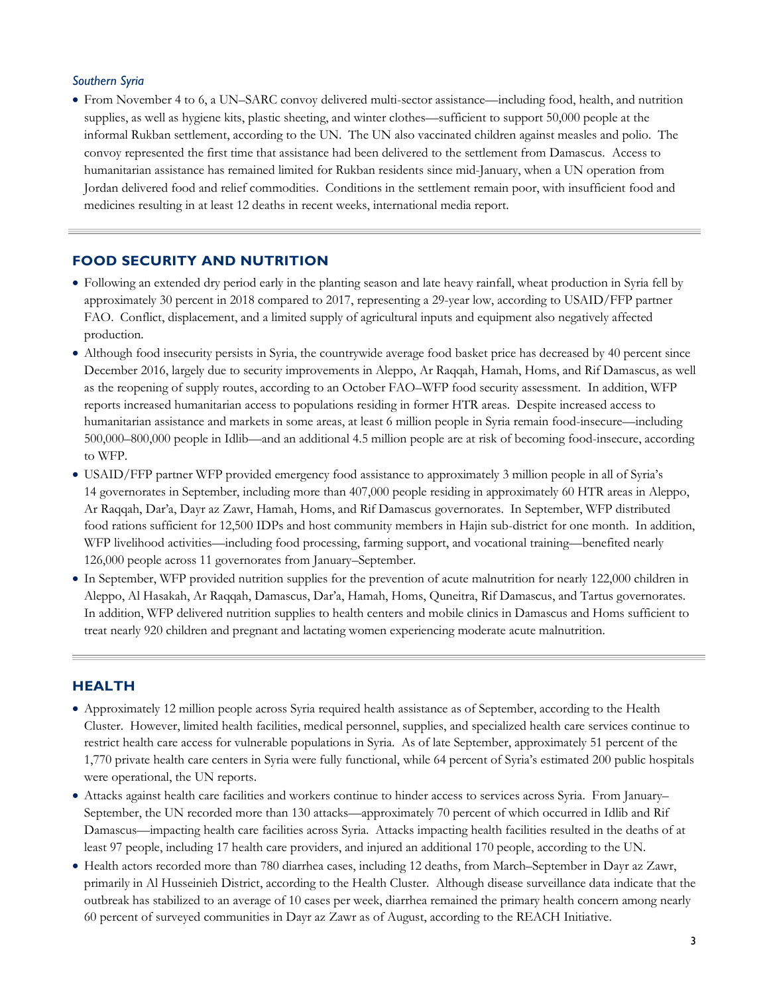#### *Southern Syria*

 From November 4 to 6, a UN–SARC convoy delivered multi-sector assistance—including food, health, and nutrition supplies, as well as hygiene kits, plastic sheeting, and winter clothes—sufficient to support 50,000 people at the informal Rukban settlement, according to the UN. The UN also vaccinated children against measles and polio. The convoy represented the first time that assistance had been delivered to the settlement from Damascus. Access to humanitarian assistance has remained limited for Rukban residents since mid-January, when a UN operation from Jordan delivered food and relief commodities. Conditions in the settlement remain poor, with insufficient food and medicines resulting in at least 12 deaths in recent weeks, international media report.

#### **FOOD SECURITY AND NUTRITION**

- Following an extended dry period early in the planting season and late heavy rainfall, wheat production in Syria fell by approximately 30 percent in 2018 compared to 2017, representing a 29-year low, according to USAID/FFP partner FAO. Conflict, displacement, and a limited supply of agricultural inputs and equipment also negatively affected production.
- Although food insecurity persists in Syria, the countrywide average food basket price has decreased by 40 percent since December 2016, largely due to security improvements in Aleppo, Ar Raqqah, Hamah, Homs, and Rif Damascus, as well as the reopening of supply routes, according to an October FAO–WFP food security assessment. In addition, WFP reports increased humanitarian access to populations residing in former HTR areas. Despite increased access to humanitarian assistance and markets in some areas, at least 6 million people in Syria remain food-insecure—including 500,000–800,000 people in Idlib—and an additional 4.5 million people are at risk of becoming food-insecure, according to WFP.
- USAID/FFP partner WFP provided emergency food assistance to approximately 3 million people in all of Syria's 14 governorates in September, including more than 407,000 people residing in approximately 60 HTR areas in Aleppo, Ar Raqqah, Dar'a, Dayr az Zawr, Hamah, Homs, and Rif Damascus governorates. In September, WFP distributed food rations sufficient for 12,500 IDPs and host community members in Hajin sub-district for one month. In addition, WFP livelihood activities—including food processing, farming support, and vocational training—benefited nearly 126,000 people across 11 governorates from January–September.
- In September, WFP provided nutrition supplies for the prevention of acute malnutrition for nearly 122,000 children in Aleppo, Al Hasakah, Ar Raqqah, Damascus, Dar'a, Hamah, Homs, Quneitra, Rif Damascus, and Tartus governorates. In addition, WFP delivered nutrition supplies to health centers and mobile clinics in Damascus and Homs sufficient to treat nearly 920 children and pregnant and lactating women experiencing moderate acute malnutrition.

#### **HEALTH**

- Approximately 12 million people across Syria required health assistance as of September, according to the Health Cluster. However, limited health facilities, medical personnel, supplies, and specialized health care services continue to restrict health care access for vulnerable populations in Syria. As of late September, approximately 51 percent of the 1,770 private health care centers in Syria were fully functional, while 64 percent of Syria's estimated 200 public hospitals were operational, the UN reports.
- Attacks against health care facilities and workers continue to hinder access to services across Syria. From January– September, the UN recorded more than 130 attacks—approximately 70 percent of which occurred in Idlib and Rif Damascus—impacting health care facilities across Syria. Attacks impacting health facilities resulted in the deaths of at least 97 people, including 17 health care providers, and injured an additional 170 people, according to the UN.
- Health actors recorded more than 780 diarrhea cases, including 12 deaths, from March–September in Dayr az Zawr, primarily in Al Husseinieh District, according to the Health Cluster. Although disease surveillance data indicate that the outbreak has stabilized to an average of 10 cases per week, diarrhea remained the primary health concern among nearly 60 percent of surveyed communities in Dayr az Zawr as of August, according to the REACH Initiative.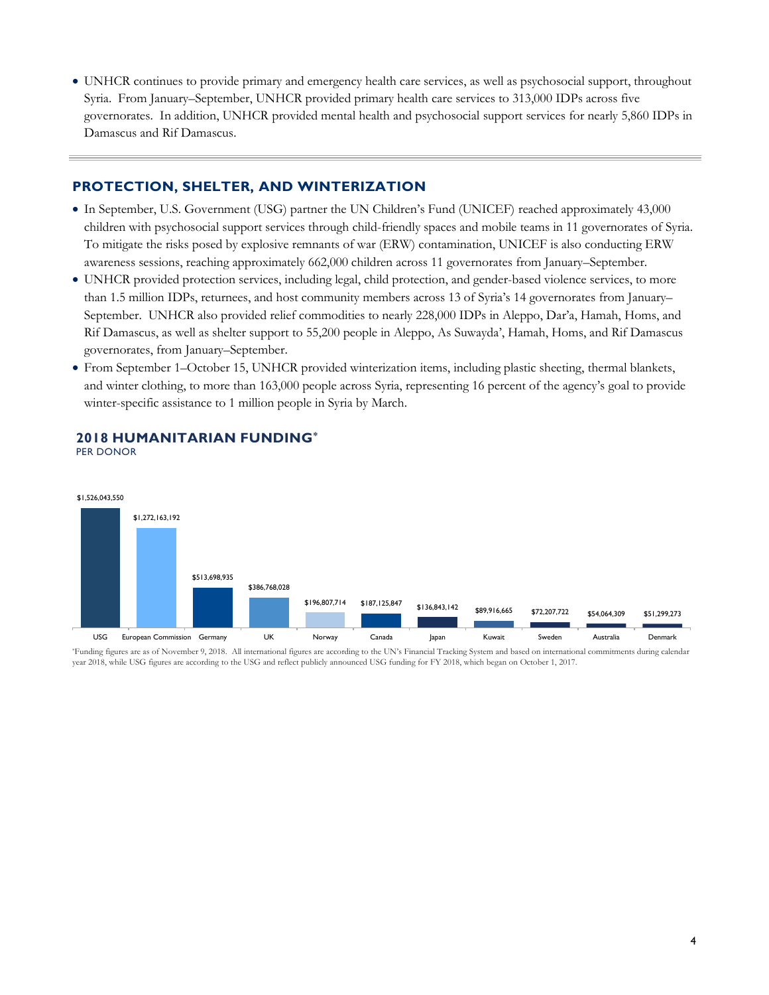UNHCR continues to provide primary and emergency health care services, as well as psychosocial support, throughout Syria. From January–September, UNHCR provided primary health care services to 313,000 IDPs across five governorates. In addition, UNHCR provided mental health and psychosocial support services for nearly 5,860 IDPs in Damascus and Rif Damascus.

#### **PROTECTION, SHELTER, AND WINTERIZATION**

- In September, U.S. Government (USG) partner the UN Children's Fund (UNICEF) reached approximately 43,000 children with psychosocial support services through child-friendly spaces and mobile teams in 11 governorates of Syria. To mitigate the risks posed by explosive remnants of war (ERW) contamination, UNICEF is also conducting ERW awareness sessions, reaching approximately 662,000 children across 11 governorates from January–September.
- UNHCR provided protection services, including legal, child protection, and gender-based violence services, to more than 1.5 million IDPs, returnees, and host community members across 13 of Syria's 14 governorates from January– September. UNHCR also provided relief commodities to nearly 228,000 IDPs in Aleppo, Dar'a, Hamah, Homs, and Rif Damascus, as well as shelter support to 55,200 people in Aleppo, As Suwayda', Hamah, Homs, and Rif Damascus governorates, from January–September.
- From September 1–October 15, UNHCR provided winterization items, including plastic sheeting, thermal blankets, and winter clothing, to more than 163,000 people across Syria, representing 16 percent of the agency's goal to provide winter-specific assistance to 1 million people in Syria by March.



#### **2018 HUMANITARIAN FUNDING\*** PER DONOR

\*Funding figures are as of November 9, 2018. All international figures are according to the UN's Financial Tracking System and based on international commitments during calendar year 2018, while USG figures are according to the USG and reflect publicly announced USG funding for FY 2018, which began on October 1, 2017.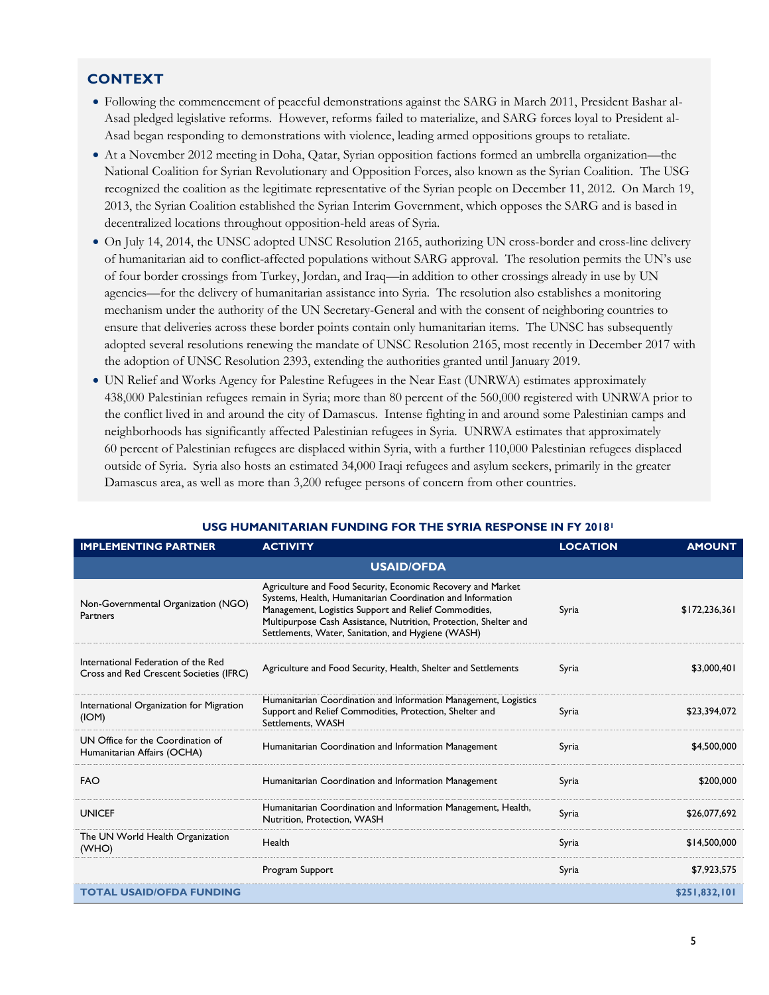### **CONTEXT**

- Following the commencement of peaceful demonstrations against the SARG in March 2011, President Bashar al-Asad pledged legislative reforms. However, reforms failed to materialize, and SARG forces loyal to President al-Asad began responding to demonstrations with violence, leading armed oppositions groups to retaliate.
- At a November 2012 meeting in Doha, Qatar, Syrian opposition factions formed an umbrella organization—the National Coalition for Syrian Revolutionary and Opposition Forces, also known as the Syrian Coalition. The USG recognized the coalition as the legitimate representative of the Syrian people on December 11, 2012. On March 19, 2013, the Syrian Coalition established the Syrian Interim Government, which opposes the SARG and is based in decentralized locations throughout opposition-held areas of Syria.
- On July 14, 2014, the UNSC adopted UNSC Resolution 2165, authorizing UN cross-border and cross-line delivery of humanitarian aid to conflict-affected populations without SARG approval. The resolution permits the UN's use of four border crossings from Turkey, Jordan, and Iraq—in addition to other crossings already in use by UN agencies—for the delivery of humanitarian assistance into Syria. The resolution also establishes a monitoring mechanism under the authority of the UN Secretary-General and with the consent of neighboring countries to ensure that deliveries across these border points contain only humanitarian items. The UNSC has subsequently adopted several resolutions renewing the mandate of UNSC Resolution 2165, most recently in December 2017 with the adoption of UNSC Resolution 2393, extending the authorities granted until January 2019.
- UN Relief and Works Agency for Palestine Refugees in the Near East (UNRWA) estimates approximately 438,000 Palestinian refugees remain in Syria; more than 80 percent of the 560,000 registered with UNRWA prior to the conflict lived in and around the city of Damascus. Intense fighting in and around some Palestinian camps and neighborhoods has significantly affected Palestinian refugees in Syria. UNRWA estimates that approximately 60 percent of Palestinian refugees are displaced within Syria, with a further 110,000 Palestinian refugees displaced outside of Syria. Syria also hosts an estimated 34,000 Iraqi refugees and asylum seekers, primarily in the greater Damascus area, as well as more than 3,200 refugee persons of concern from other countries.

| <b>IMPLEMENTING PARTNER</b>                                                    | <b>ACTIVITY</b>                                                                                                                                                                                                                                                                                              | <b>LOCATION</b> | <b>AMOUNT</b>   |  |
|--------------------------------------------------------------------------------|--------------------------------------------------------------------------------------------------------------------------------------------------------------------------------------------------------------------------------------------------------------------------------------------------------------|-----------------|-----------------|--|
| <b>USAID/OFDA</b>                                                              |                                                                                                                                                                                                                                                                                                              |                 |                 |  |
| Non-Governmental Organization (NGO)<br>Partners                                | Agriculture and Food Security, Economic Recovery and Market<br>Systems, Health, Humanitarian Coordination and Information<br>Management, Logistics Support and Relief Commodities,<br>Multipurpose Cash Assistance, Nutrition, Protection, Shelter and<br>Settlements, Water, Sanitation, and Hygiene (WASH) | Syria           | \$172, 236, 361 |  |
| International Federation of the Red<br>Cross and Red Crescent Societies (IFRC) | Agriculture and Food Security, Health, Shelter and Settlements                                                                                                                                                                                                                                               | Syria           | \$3,000,401     |  |
| International Organization for Migration<br>(ION)                              | Humanitarian Coordination and Information Management, Logistics<br>Support and Relief Commodities, Protection, Shelter and<br>Settlements, WASH                                                                                                                                                              | Syria           | \$23,394,072    |  |
| UN Office for the Coordination of<br>Humanitarian Affairs (OCHA)               | Humanitarian Coordination and Information Management                                                                                                                                                                                                                                                         | Syria           | \$4,500,000     |  |
| <b>FAO</b>                                                                     | Humanitarian Coordination and Information Management                                                                                                                                                                                                                                                         | Syria           | \$200,000       |  |
| <b>UNICEF</b>                                                                  | Humanitarian Coordination and Information Management, Health,<br>Nutrition, Protection, WASH                                                                                                                                                                                                                 | Syria           | \$26,077,692    |  |
| The UN World Health Organization<br>(WHO)                                      | Health                                                                                                                                                                                                                                                                                                       | Syria           | \$14,500,000    |  |
|                                                                                | Program Support                                                                                                                                                                                                                                                                                              | Syria           | \$7,923,575     |  |
| <b>TOTAL USAID/OFDA FUNDING</b>                                                |                                                                                                                                                                                                                                                                                                              |                 | \$251,832,101   |  |

#### **USG HUMANITARIAN FUNDING FOR THE SYRIA RESPONSE IN FY 2018<sup>1</sup>**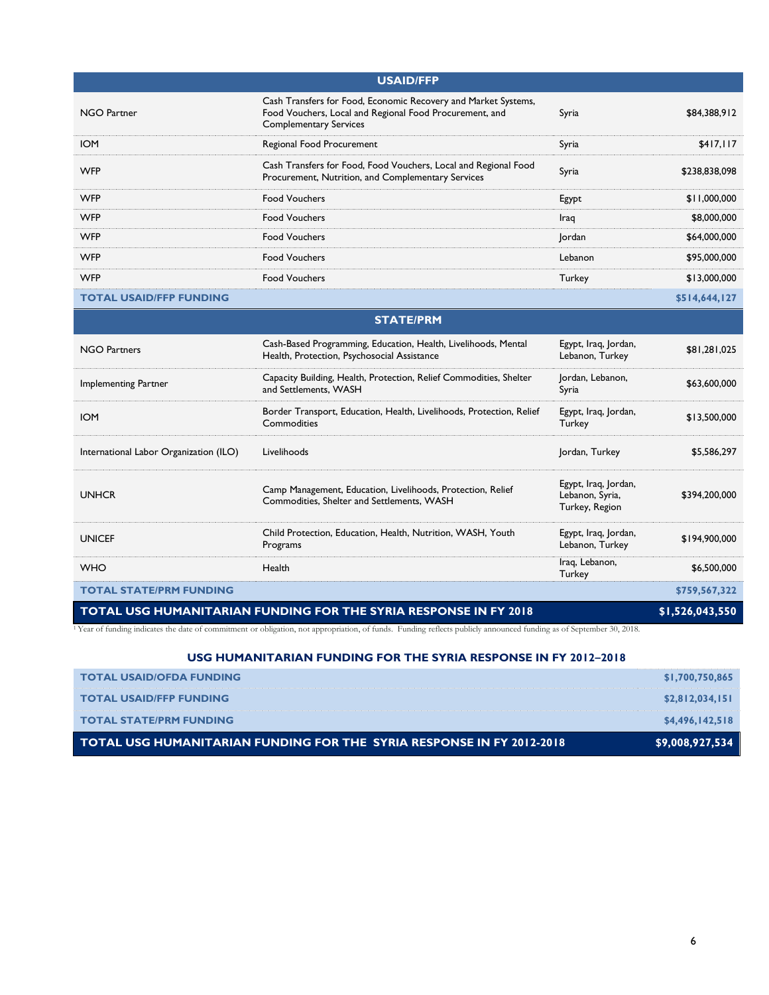| <b>USAID/FFP</b>        |                                                                                                                                                            |         |               |
|-------------------------|------------------------------------------------------------------------------------------------------------------------------------------------------------|---------|---------------|
| <b>NGO Partner</b>      | Cash Transfers for Food, Economic Recovery and Market Systems,<br>Food Vouchers, Local and Regional Food Procurement, and<br><b>Complementary Services</b> | Syria   | \$84,388,912  |
| <b>IOM</b>              | Regional Food Procurement                                                                                                                                  | Syria   | \$417,117     |
| <b>WFP</b>              | Cash Transfers for Food, Food Vouchers, Local and Regional Food<br>Procurement, Nutrition, and Complementary Services                                      | Syria   | \$238,838,098 |
| <b>WFP</b>              | <b>Food Vouchers</b>                                                                                                                                       | Egypt   | \$11,000,000  |
| <b>WFP</b>              | <b>Food Vouchers</b>                                                                                                                                       | Iraq    | \$8,000,000   |
| <b>WFP</b>              | <b>Food Vouchers</b>                                                                                                                                       | Jordan  | \$64,000,000  |
| <b>WFP</b>              | <b>Food Vouchers</b>                                                                                                                                       | Lebanon | \$95,000,000  |
| <b>WFP</b>              | <b>Food Vouchers</b>                                                                                                                                       | Turkey  | \$13,000,000  |
| TOTAL USAID/FFP FUNDING |                                                                                                                                                            |         | \$514,644,127 |

| <b>STATE/PRM</b>                                                 |                                                                                                               |                                                           |                 |  |
|------------------------------------------------------------------|---------------------------------------------------------------------------------------------------------------|-----------------------------------------------------------|-----------------|--|
| <b>NGO Partners</b>                                              | Cash-Based Programming, Education, Health, Livelihoods, Mental<br>Health, Protection, Psychosocial Assistance | Egypt, Iraq, Jordan,<br>Lebanon, Turkey                   | \$81,281,025    |  |
| Implementing Partner                                             | Capacity Building, Health, Protection, Relief Commodities, Shelter<br>and Settlements, WASH                   | Jordan, Lebanon,<br>Syria                                 | \$63,600,000    |  |
| <b>IOM</b>                                                       | Border Transport, Education, Health, Livelihoods, Protection, Relief<br>Commodities                           | Egypt, Iraq, Jordan,<br>Turkey                            | \$13,500,000    |  |
| International Labor Organization (ILO)                           | Livelihoods                                                                                                   | Jordan, Turkey                                            | \$5,586,297     |  |
| <b>UNHCR</b>                                                     | Camp Management, Education, Livelihoods, Protection, Relief<br>Commodities, Shelter and Settlements, WASH     | Egypt, Iraq, Jordan,<br>Lebanon, Syria,<br>Turkey, Region | \$394,200,000   |  |
| <b>UNICEF</b>                                                    | Child Protection, Education, Health, Nutrition, WASH, Youth<br>Programs                                       | Egypt, Iraq, Jordan,<br>Lebanon, Turkey                   | \$194,900,000   |  |
| <b>WHO</b>                                                       | Health                                                                                                        | Iraq, Lebanon,<br>Turkey                                  | \$6,500,000     |  |
| <b>TOTAL STATE/PRM FUNDING</b>                                   |                                                                                                               |                                                           | \$759,567,322   |  |
| TOTAL USG HUMANITARIAN FUNDING FOR THE SYRIA RESPONSE IN FY 2018 |                                                                                                               |                                                           | \$1,526,043,550 |  |

<sup>1</sup>Year of funding indicates the date of commitment or obligation, not appropriation, of funds. Funding reflects publicly announced funding as of September 30, 2018.

#### **USG HUMANITARIAN FUNDING FOR THE SYRIA RESPONSE IN FY 2012–2018**

| TOTAL USG HUMANITARIAN FUNDING FOR THE SYRIA RESPONSE IN FY 2012-2018 | \$9,008,927,534 |
|-----------------------------------------------------------------------|-----------------|
| <b>TOTAL STATE/PRM FUNDING</b>                                        | \$4,496,142,518 |
| <b>TOTAL USAID/FFP FUNDING</b>                                        | \$2,812,034,151 |
| <b>TOTAL USAID/OFDA FUNDING</b>                                       | \$1,700,750,865 |